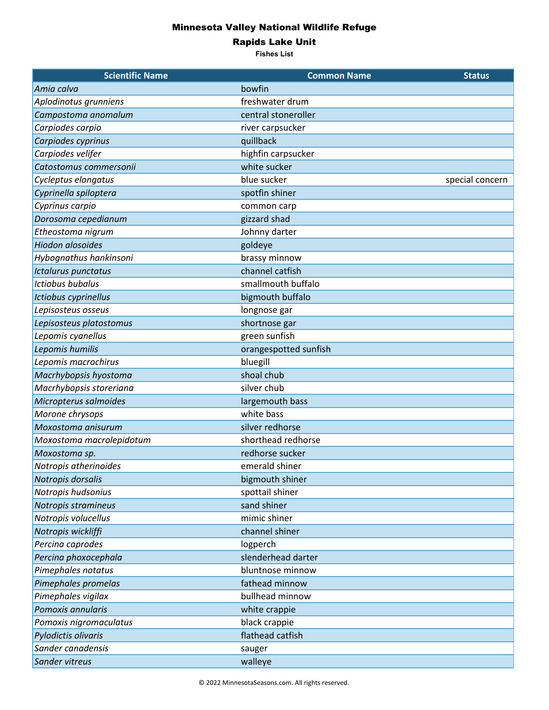## Minnesota Valley National Wildlife Refuge

Rapids Lake Unit

**Fishes List**

| <b>Scientific Name</b>   | <b>Common Name</b>    | <b>Status</b>   |
|--------------------------|-----------------------|-----------------|
| Amia calva               | bowfin                |                 |
| Aplodinotus grunniens    | freshwater drum       |                 |
| Campostoma anomalum      | central stoneroller   |                 |
| Carpiodes carpio         | river carpsucker      |                 |
| Carpiodes cyprinus       | quillback             |                 |
| Carpiodes velifer        | highfin carpsucker    |                 |
| Catostomus commersonii   | white sucker          |                 |
| Cycleptus elongatus      | blue sucker           | special concern |
| Cyprinella spiloptera    | spotfin shiner        |                 |
| Cyprinus carpio          | common carp           |                 |
| Dorosoma cepedianum      | gizzard shad          |                 |
| Etheostoma nigrum        | Johnny darter         |                 |
| <b>Hiodon alosoides</b>  | goldeye               |                 |
| Hybognathus hankinsoni   | brassy minnow         |                 |
| Ictalurus punctatus      | channel catfish       |                 |
| <b>Ictiobus bubalus</b>  | smallmouth buffalo    |                 |
| Ictiobus cyprinellus     | bigmouth buffalo      |                 |
| Lepisosteus osseus       | longnose gar          |                 |
| Lepisosteus platostomus  | shortnose gar         |                 |
| Lepomis cyanellus        | green sunfish         |                 |
| Lepomis humilis          | orangespotted sunfish |                 |
| Lepomis macrochirus      | bluegill              |                 |
| Macrhybopsis hyostoma    | shoal chub            |                 |
| Macrhybopsis storeriana  | silver chub           |                 |
| Micropterus salmoides    | largemouth bass       |                 |
| Morone chrysops          | white bass            |                 |
| Moxostoma anisurum       | silver redhorse       |                 |
| Moxostoma macrolepidotum | shorthead redhorse    |                 |
| Moxostoma sp.            | redhorse sucker       |                 |
| Notropis atherinoides    | emerald shiner        |                 |
| Notropis dorsalis        | bigmouth shiner       |                 |
| Notropis hudsonius       | spottail shiner       |                 |
| Notropis stramineus      | sand shiner           |                 |
| Notropis volucellus      | mimic shiner          |                 |
| Notropis wickliffi       | channel shiner        |                 |
| Percina caprodes         | logperch              |                 |
| Percina phoxocephala     | slenderhead darter    |                 |
| Pimephales notatus       | bluntnose minnow      |                 |
| Pimephales promelas      | fathead minnow        |                 |
| Pimephales vigilax       | bullhead minnow       |                 |
| Pomoxis annularis        | white crappie         |                 |
| Pomoxis nigromaculatus   | black crappie         |                 |
| Pylodictis olivaris      | flathead catfish      |                 |
| Sander canadensis        | sauger                |                 |
| Sander vitreus           | walleye               |                 |